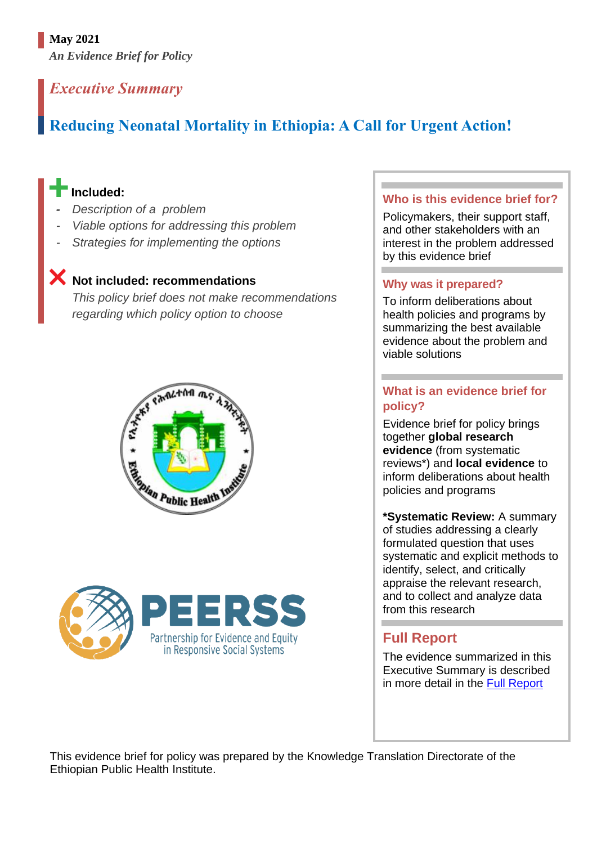# **May 2021**

*An Evidence Brief for Policy*

# *Executive Summary*

# **Reducing Neonatal Mortality in Ethiopia: A Call for Urgent Action!**

# **Included:**

- *Description of a problem*
- *Viable options for addressing this problem*
- **Strategies for implementing the options**

# **Not included: recommendations**

*This policy brief does not make recommendations regarding which policy option to choose*





#### **Who is this evidence brief for?**

Policymakers, their support staff, and other stakeholders with an interest in the problem addressed by this evidence brief

#### **Why was it prepared?**

To inform deliberations about health policies and programs by summarizing the best available evidence about the problem and viable solutions

## **What is an evidence brief for policy?**

Evidence brief for policy brings together **global research evidence** (from systematic reviews\*) and **local evidence** to inform deliberations about health policies and programs

**\*Systematic Review:** A summary of studies addressing a clearly formulated question that uses systematic and explicit methods to identify, select, and critically appraise the relevant research, and to collect and analyze data from this research

# **Full Report**

The evidence summarized in this Executive Summary is described in more detail in the [Full Report](file:///C:/harriet/SURE%20Project/SURE%20program%20of%20work/SURE%20policy%20brief/SURE%20policy%20brief_SBA/work%20SBA/full%20report/Templates%20for%20creating%20new%20Policy%20Briefs/link-to-full-report)

This evidence brief for policy was prepared by the Knowledge Translation Directorate of the Ethiopian Public Health Institute.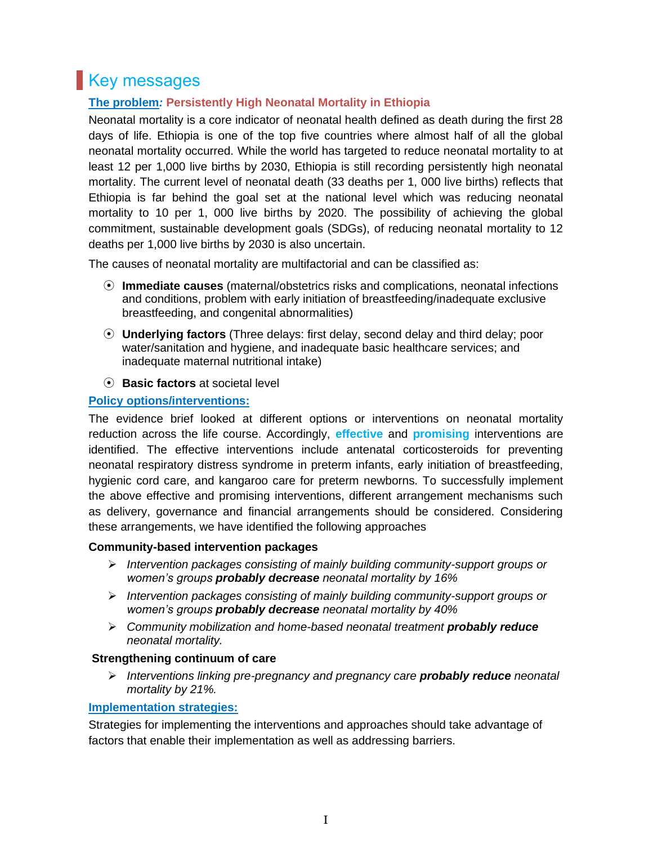# **Key messages**

### **The problem***:* **Persistently High Neonatal Mortality in Ethiopia**

Neonatal mortality is a core indicator of neonatal health defined as death during the first 28 days of life. Ethiopia is one of the top five countries where almost half of all the global neonatal mortality occurred. While the world has targeted to reduce neonatal mortality to at least 12 per 1,000 live births by 2030, Ethiopia is still recording persistently high neonatal mortality. The current level of neonatal death (33 deaths per 1, 000 live births) reflects that Ethiopia is far behind the goal set at the national level which was reducing neonatal mortality to 10 per 1, 000 live births by 2020. The possibility of achieving the global commitment, sustainable development goals (SDGs), of reducing neonatal mortality to 12 deaths per 1,000 live births by 2030 is also uncertain.

The causes of neonatal mortality are multifactorial and can be classified as:

- ⦿ **Immediate causes** (maternal/obstetrics risks and complications, neonatal infections and conditions, problem with early initiation of breastfeeding/inadequate exclusive breastfeeding, and congenital abnormalities)
- ⦿ **Underlying factors** (Three delays: first delay, second delay and third delay; poor water/sanitation and hygiene, and inadequate basic healthcare services; and inadequate maternal nutritional intake)
- ⦿ **Basic factors** at societal level

#### **Policy options/interventions:**

The evidence brief looked at different options or interventions on neonatal mortality reduction across the life course. Accordingly, **effective** and **promising** interventions are identified. The effective interventions include antenatal corticosteroids for preventing neonatal respiratory distress syndrome in preterm infants, early initiation of breastfeeding, hygienic cord care, and kangaroo care for preterm newborns. To successfully implement the above effective and promising interventions, different arrangement mechanisms such as delivery, governance and financial arrangements should be considered. Considering these arrangements, we have identified the following approaches

#### **Community-based intervention packages**

- ➢ *Intervention packages consisting of mainly building community-support groups or women's groups probably decrease neonatal mortality by 16%*
- ➢ *Intervention packages consisting of mainly building community-support groups or women's groups probably decrease neonatal mortality by 40%*
- ➢ *Community mobilization and home-based neonatal treatment probably reduce neonatal mortality.*

#### **Strengthening continuum of care**

➢ *Interventions linking pre-pregnancy and pregnancy care probably reduce neonatal mortality by 21%.* 

#### **Implementation strategies:**

Strategies for implementing the interventions and approaches should take advantage of factors that enable their implementation as well as addressing barriers.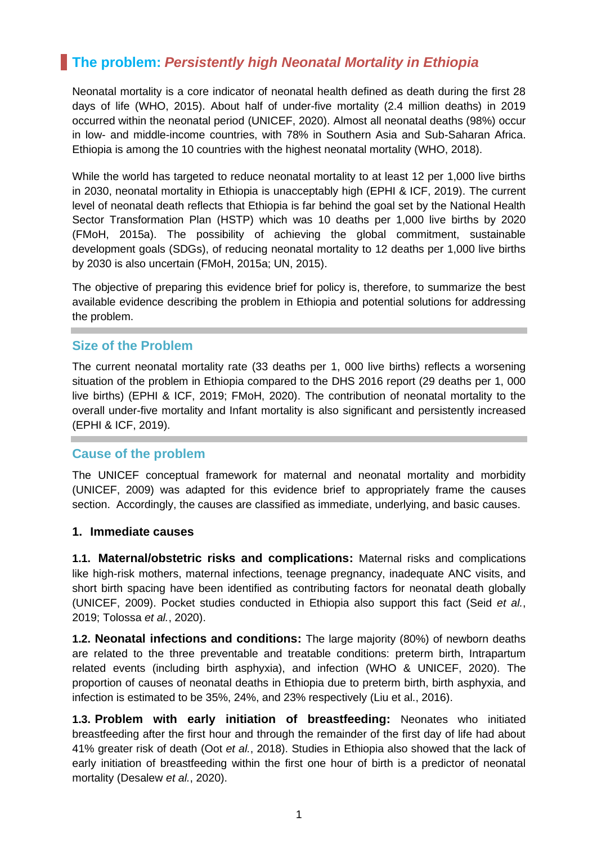# **The problem:** *Persistently high Neonatal Mortality in Ethiopia*

Neonatal mortality is a core indicator of neonatal health defined as death during the first 28 days of life (WHO, 2015). About half of under-five mortality (2.4 million deaths) in 2019 occurred within the neonatal period (UNICEF, 2020). Almost all neonatal deaths (98%) occur in low- and middle-income countries, with 78% in Southern Asia and Sub-Saharan Africa. Ethiopia is among the 10 countries with the highest neonatal mortality (WHO, 2018).

While the world has targeted to reduce neonatal mortality to at least 12 per 1,000 live births in 2030, neonatal mortality in Ethiopia is unacceptably high (EPHI & ICF, 2019). The current level of neonatal death reflects that Ethiopia is far behind the goal set by the National Health Sector Transformation Plan (HSTP) which was 10 deaths per 1,000 live births by 2020 (FMoH, 2015a). The possibility of achieving the global commitment, sustainable development goals (SDGs), of reducing neonatal mortality to 12 deaths per 1,000 live births by 2030 is also uncertain (FMoH, 2015a; UN, 2015).

The objective of preparing this evidence brief for policy is, therefore, to summarize the best available evidence describing the problem in Ethiopia and potential solutions for addressing the problem.

### **Size of the Problem**

The current neonatal mortality rate (33 deaths per 1, 000 live births) reflects a worsening situation of the problem in Ethiopia compared to the DHS 2016 report (29 deaths per 1, 000 live births) (EPHI & ICF, 2019; FMoH, 2020). The contribution of neonatal mortality to the overall under-five mortality and Infant mortality is also significant and persistently increased (EPHI & ICF, 2019).

#### **Cause of the problem**

The UNICEF conceptual framework for maternal and neonatal mortality and morbidity (UNICEF, 2009) was adapted for this evidence brief to appropriately frame the causes section. Accordingly, the causes are classified as immediate, underlying, and basic causes.

#### **1. Immediate causes**

**1.1. Maternal/obstetric risks and complications:** Maternal risks and complications like high-risk mothers, maternal infections, teenage pregnancy, inadequate ANC visits, and short birth spacing have been identified as contributing factors for neonatal death globally (UNICEF, 2009). Pocket studies conducted in Ethiopia also support this fact (Seid *et al.*, 2019; Tolossa *et al.*, 2020).

**1.2. Neonatal infections and conditions:** The large majority (80%) of newborn deaths are related to the three preventable and treatable conditions: preterm birth, Intrapartum related events (including birth asphyxia), and infection (WHO & UNICEF, 2020). The proportion of causes of neonatal deaths in Ethiopia due to preterm birth, birth asphyxia, and infection is estimated to be 35%, 24%, and 23% respectively (Liu et al., 2016).

**1.3. Problem with early initiation of breastfeeding:** Neonates who initiated breastfeeding after the first hour and through the remainder of the first day of life had about 41% greater risk of death (Oot *et al.*, 2018). Studies in Ethiopia also showed that the lack of early initiation of breastfeeding within the first one hour of birth is a predictor of neonatal mortality (Desalew *et al.*, 2020).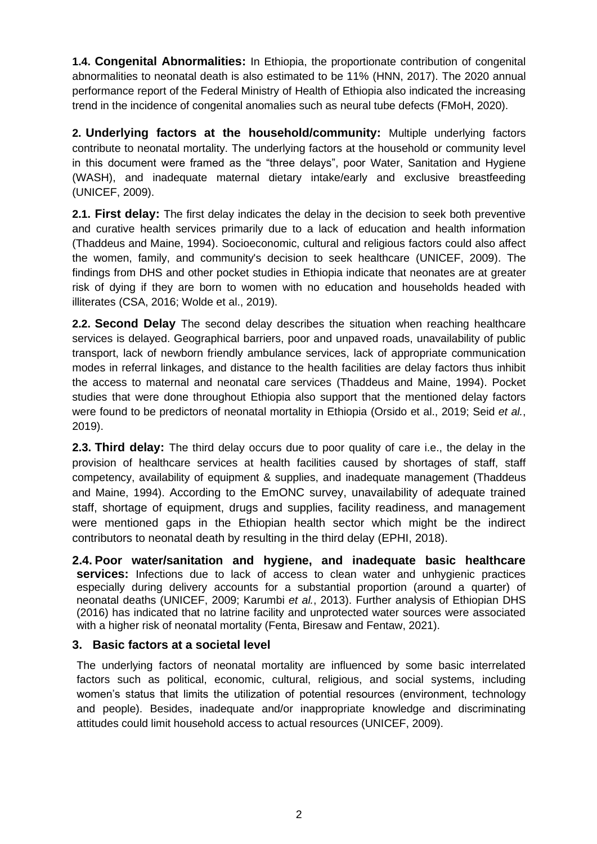**1.4. Congenital Abnormalities:** In Ethiopia, the proportionate contribution of congenital abnormalities to neonatal death is also estimated to be 11% (HNN, 2017). The 2020 annual performance report of the Federal Ministry of Health of Ethiopia also indicated the increasing trend in the incidence of congenital anomalies such as neural tube defects (FMoH, 2020).

**2. Underlying factors at the household/community:** Multiple underlying factors contribute to neonatal mortality. The underlying factors at the household or community level in this document were framed as the "three delays", poor Water, Sanitation and Hygiene (WASH), and inadequate maternal dietary intake/early and exclusive breastfeeding (UNICEF, 2009).

**2.1. First delay:** The first delay indicates the delay in the decision to seek both preventive and curative health services primarily due to a lack of education and health information (Thaddeus and Maine, 1994). Socioeconomic, cultural and religious factors could also affect the women, family, and community's decision to seek healthcare (UNICEF, 2009). The findings from DHS and other pocket studies in Ethiopia indicate that neonates are at greater risk of dying if they are born to women with no education and households headed with illiterates (CSA, 2016; Wolde et al., 2019).

**2.2. Second Delay** The second delay describes the situation when reaching healthcare services is delayed. Geographical barriers, poor and unpaved roads, unavailability of public transport, lack of newborn friendly ambulance services, lack of appropriate communication modes in referral linkages, and distance to the health facilities are delay factors thus inhibit the access to maternal and neonatal care services (Thaddeus and Maine, 1994). Pocket studies that were done throughout Ethiopia also support that the mentioned delay factors were found to be predictors of neonatal mortality in Ethiopia (Orsido et al., 2019; Seid *et al.*, 2019).

**2.3. Third delay:** The third delay occurs due to poor quality of care i.e., the delay in the provision of healthcare services at health facilities caused by shortages of staff, staff competency, availability of equipment & supplies, and inadequate management (Thaddeus and Maine, 1994). According to the EmONC survey, unavailability of adequate trained staff, shortage of equipment, drugs and supplies, facility readiness, and management were mentioned gaps in the Ethiopian health sector which might be the indirect contributors to neonatal death by resulting in the third delay (EPHI, 2018).

**2.4. Poor water/sanitation and hygiene, and inadequate basic healthcare services:** Infections due to lack of access to clean water and unhygienic practices especially during delivery accounts for a substantial proportion (around a quarter) of neonatal deaths (UNICEF, 2009; Karumbi *et al.*, 2013). Further analysis of Ethiopian DHS (2016) has indicated that no latrine facility and unprotected water sources were associated with a higher risk of neonatal mortality (Fenta, Biresaw and Fentaw, 2021).

#### **3. Basic factors at a societal level**

The underlying factors of neonatal mortality are influenced by some basic interrelated factors such as political, economic, cultural, religious, and social systems, including women's status that limits the utilization of potential resources (environment, technology and people). Besides, inadequate and/or inappropriate knowledge and discriminating attitudes could limit household access to actual resources (UNICEF, 2009).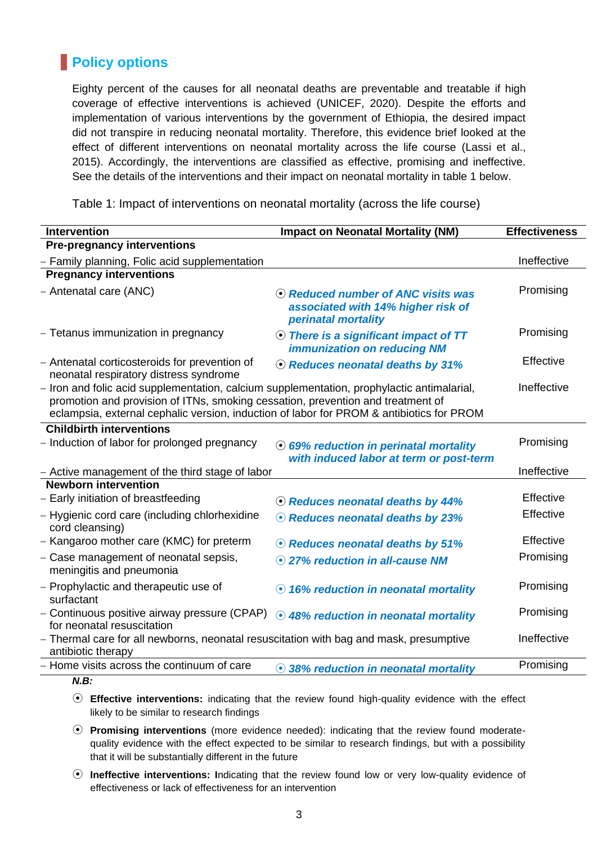# **Policy options**

Eighty percent of the causes for all neonatal deaths are preventable and treatable if high coverage of effective interventions is achieved (UNICEF, 2020). Despite the efforts and implementation of various interventions by the government of Ethiopia, the desired impact did not transpire in reducing neonatal mortality. Therefore, this evidence brief looked at the effect of different interventions on neonatal mortality across the life course (Lassi et al., 2015). Accordingly, the interventions are classified as effective, promising and ineffective. See the details of the interventions and their impact on neonatal mortality in table 1 below.

Table 1: Impact of interventions on neonatal mortality (across the life course)

| <b>Intervention</b>                                                                                                                                                                                                                                                       | <b>Impact on Neonatal Mortality (NM)</b>                                                        | <b>Effectiveness</b> |
|---------------------------------------------------------------------------------------------------------------------------------------------------------------------------------------------------------------------------------------------------------------------------|-------------------------------------------------------------------------------------------------|----------------------|
| <b>Pre-pregnancy interventions</b>                                                                                                                                                                                                                                        |                                                                                                 |                      |
| - Family planning, Folic acid supplementation                                                                                                                                                                                                                             |                                                                                                 | Ineffective          |
| <b>Pregnancy interventions</b>                                                                                                                                                                                                                                            |                                                                                                 |                      |
| - Antenatal care (ANC)                                                                                                                                                                                                                                                    | ⊙ Reduced number of ANC visits was<br>associated with 14% higher risk of<br>perinatal mortality | Promising            |
| - Tetanus immunization in pregnancy                                                                                                                                                                                                                                       | ⊙ There is a significant impact of TT<br><b>immunization on reducing NM</b>                     | Promising            |
| - Antenatal corticosteroids for prevention of<br>neonatal respiratory distress syndrome                                                                                                                                                                                   | ⊙ Reduces neonatal deaths by 31%                                                                | Effective            |
| - Iron and folic acid supplementation, calcium supplementation, prophylactic antimalarial,<br>promotion and provision of ITNs, smoking cessation, prevention and treatment of<br>eclampsia, external cephalic version, induction of labor for PROM & antibiotics for PROM |                                                                                                 | Ineffective          |
| <b>Childbirth interventions</b>                                                                                                                                                                                                                                           |                                                                                                 |                      |
| - Induction of labor for prolonged pregnancy                                                                                                                                                                                                                              | ⊙ 69% reduction in perinatal mortality<br>with induced labor at term or post-term               | Promising            |
| - Active management of the third stage of labor                                                                                                                                                                                                                           |                                                                                                 | Ineffective          |
| <b>Newborn intervention</b>                                                                                                                                                                                                                                               |                                                                                                 |                      |
| - Early initiation of breastfeeding                                                                                                                                                                                                                                       | ⊙ Reduces neonatal deaths by 44%                                                                | Effective            |
| - Hygienic cord care (including chlorhexidine<br>cord cleansing)                                                                                                                                                                                                          | ⊙ Reduces neonatal deaths by 23%                                                                | Effective            |
| - Kangaroo mother care (KMC) for preterm                                                                                                                                                                                                                                  | ⊙ Reduces neonatal deaths by 51%                                                                | Effective            |
| - Case management of neonatal sepsis,<br>meningitis and pneumonia                                                                                                                                                                                                         | ⊙ 27% reduction in all-cause NM                                                                 | Promising            |
| - Prophylactic and therapeutic use of<br>surfactant                                                                                                                                                                                                                       | ⊙ 16% reduction in neonatal mortality                                                           | Promising            |
| - Continuous positive airway pressure (CPAP)<br>for neonatal resuscitation                                                                                                                                                                                                | ⊙ 48% reduction in neonatal mortality                                                           | Promising            |
| - Thermal care for all newborns, neonatal resuscitation with bag and mask, presumptive<br>antibiotic therapy                                                                                                                                                              |                                                                                                 | Ineffective          |
| - Home visits across the continuum of care                                                                                                                                                                                                                                | 38% reduction in neonatal mortality                                                             | Promising            |
| N R.                                                                                                                                                                                                                                                                      |                                                                                                 |                      |

- ⦿ **Effective interventions:** indicating that the review found high-quality evidence with the effect likely to be similar to research findings
- ⦿ **Promising interventions** (more evidence needed): indicating that the review found moderatequality evidence with the effect expected to be similar to research findings, but with a possibility that it will be substantially different in the future
- ⦿ **Ineffective interventions: I**ndicating that the review found low or very low-quality evidence of effectiveness or lack of effectiveness for an intervention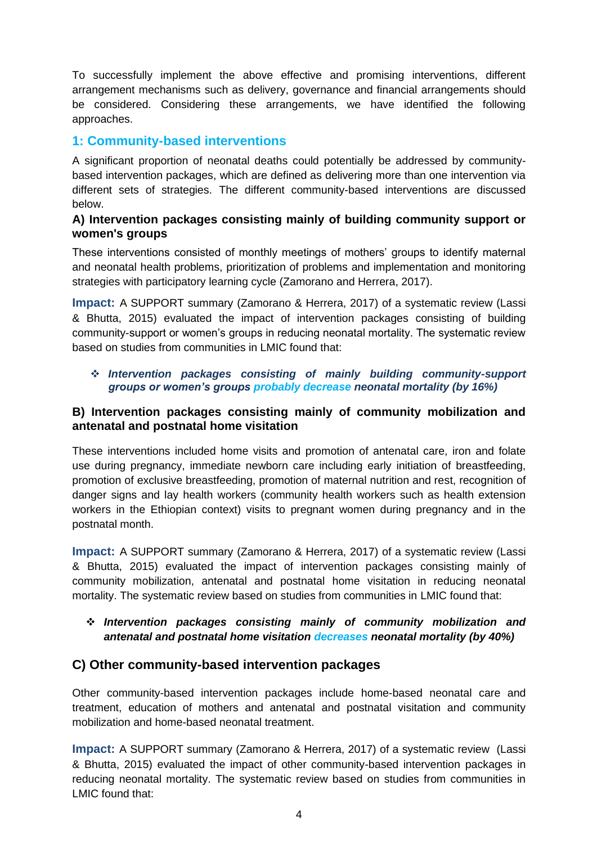To successfully implement the above effective and promising interventions, different arrangement mechanisms such as delivery, governance and financial arrangements should be considered. Considering these arrangements, we have identified the following approaches.

## **1: Community-based interventions**

A significant proportion of neonatal deaths could potentially be addressed by communitybased intervention packages, which are defined as delivering more than one intervention via different sets of strategies. The different community-based interventions are discussed below.

#### **A) Intervention packages consisting mainly of building community support or women's groups**

These interventions consisted of monthly meetings of mothers' groups to identify maternal and neonatal health problems, prioritization of problems and implementation and monitoring strategies with participatory learning cycle (Zamorano and Herrera, 2017).

**Impact:** A SUPPORT summary (Zamorano & Herrera, 2017) of a systematic review (Lassi & Bhutta, 2015) evaluated the impact of intervention packages consisting of building community-support or women's groups in reducing neonatal mortality. The systematic review based on studies from communities in LMIC found that:

#### ❖ *Intervention packages consisting of mainly building community-support groups or women's groups probably decrease neonatal mortality (by 16%)*

#### **B) Intervention packages consisting mainly of community mobilization and antenatal and postnatal home visitation**

These interventions included home visits and promotion of antenatal care, iron and folate use during pregnancy, immediate newborn care including early initiation of breastfeeding, promotion of exclusive breastfeeding, promotion of maternal nutrition and rest, recognition of danger signs and lay health workers (community health workers such as health extension workers in the Ethiopian context) visits to pregnant women during pregnancy and in the postnatal month.

**Impact:** A SUPPORT summary (Zamorano & Herrera, 2017) of a systematic review (Lassi & Bhutta, 2015) evaluated the impact of intervention packages consisting mainly of community mobilization, antenatal and postnatal home visitation in reducing neonatal mortality. The systematic review based on studies from communities in LMIC found that:

#### ❖ *Intervention packages consisting mainly of community mobilization and antenatal and postnatal home visitation decreases neonatal mortality (by 40%)*

### **C) Other community-based intervention packages**

Other community-based intervention packages include home-based neonatal care and treatment, education of mothers and antenatal and postnatal visitation and community mobilization and home-based neonatal treatment.

**Impact:** A SUPPORT summary (Zamorano & Herrera, 2017) of a systematic review (Lassi & Bhutta, 2015) evaluated the impact of other community-based intervention packages in reducing neonatal mortality. The systematic review based on studies from communities in LMIC found that: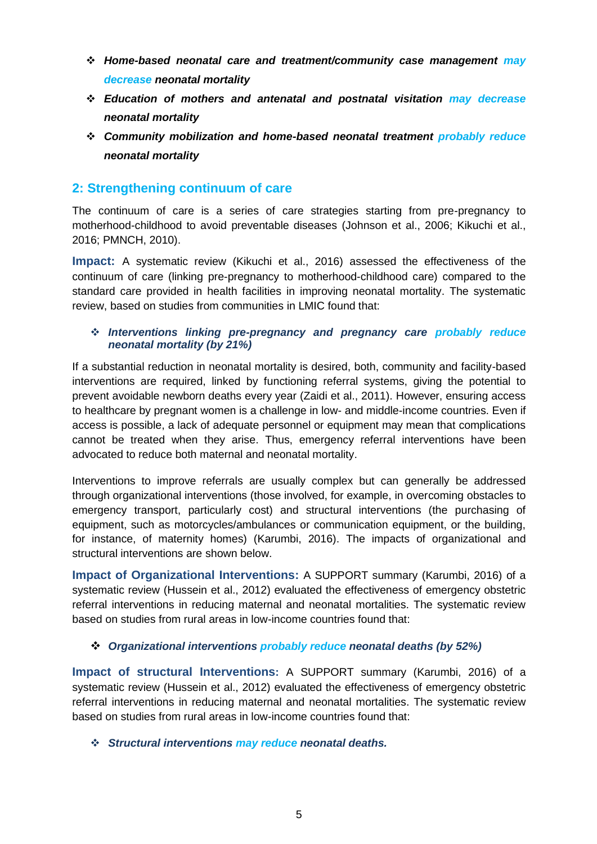- ❖ *Home-based neonatal care and treatment/community case management may decrease neonatal mortality*
- ❖ *Education of mothers and antenatal and postnatal visitation may decrease neonatal mortality*
- ❖ *Community mobilization and home-based neonatal treatment probably reduce neonatal mortality*

## **2: Strengthening continuum of care**

The continuum of care is a series of care strategies starting from pre-pregnancy to motherhood-childhood to avoid preventable diseases (Johnson et al., 2006; Kikuchi et al., 2016; PMNCH, 2010).

**Impact:** A systematic review (Kikuchi et al., 2016) assessed the effectiveness of the continuum of care (linking pre-pregnancy to motherhood-childhood care) compared to the standard care provided in health facilities in improving neonatal mortality. The systematic review, based on studies from communities in LMIC found that:

#### ❖ *Interventions linking pre-pregnancy and pregnancy care probably reduce neonatal mortality (by 21%)*

If a substantial reduction in neonatal mortality is desired, both, community and facility-based interventions are required, linked by functioning referral systems, giving the potential to prevent avoidable newborn deaths every year (Zaidi et al., 2011). However, ensuring access to healthcare by pregnant women is a challenge in low- and middle-income countries. Even if access is possible, a lack of adequate personnel or equipment may mean that complications cannot be treated when they arise. Thus, emergency referral interventions have been advocated to reduce both maternal and neonatal mortality.

Interventions to improve referrals are usually complex but can generally be addressed through organizational interventions (those involved, for example, in overcoming obstacles to emergency transport, particularly cost) and structural interventions (the purchasing of equipment, such as motorcycles/ambulances or communication equipment, or the building, for instance, of maternity homes) (Karumbi, 2016). The impacts of organizational and structural interventions are shown below.

**Impact of Organizational Interventions:** A SUPPORT summary (Karumbi, 2016) of a systematic review (Hussein et al., 2012) evaluated the effectiveness of emergency obstetric referral interventions in reducing maternal and neonatal mortalities. The systematic review based on studies from rural areas in low-income countries found that:

#### ❖ *Organizational interventions probably reduce neonatal deaths (by 52%)*

**Impact of structural Interventions:** A SUPPORT summary (Karumbi, 2016) of a systematic review (Hussein et al., 2012) evaluated the effectiveness of emergency obstetric referral interventions in reducing maternal and neonatal mortalities. The systematic review based on studies from rural areas in low-income countries found that:

#### ❖ *Structural interventions may reduce neonatal deaths.*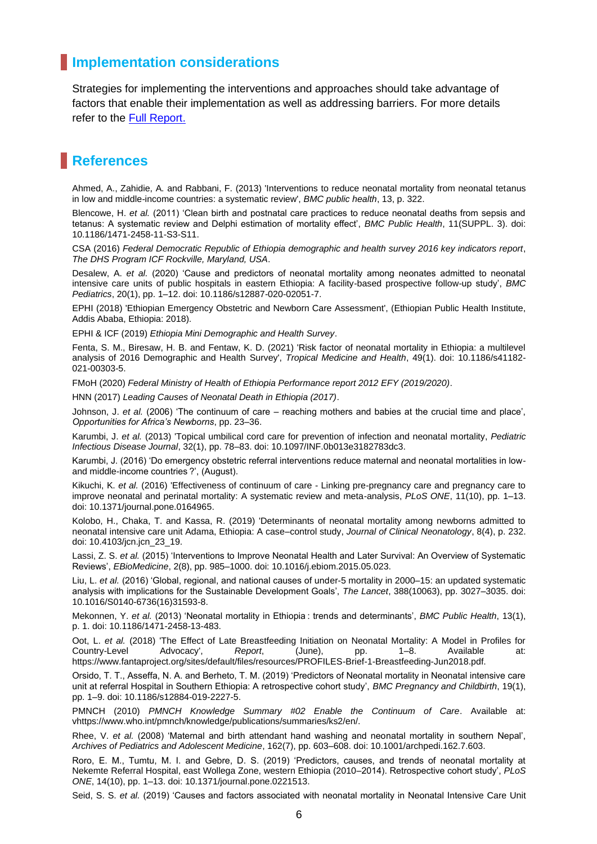## **Implementation considerations**

Strategies for implementing the interventions and approaches should take advantage of factors that enable their implementation as well as addressing barriers. For more details refer to the [Full Report.](file:///C:/Users/user/Desktop/nnm/main%20and%20executive%20file/F1-Reducing%20Neonatal%20Mortality%20in%20Ethiopia_A%20Call%20for%20Urgent%20Action!.docx)

# **References**

Ahmed, A., Zahidie, A. and Rabbani, F. (2013) 'Interventions to reduce neonatal mortality from neonatal tetanus in low and middle-income countries: a systematic review', *BMC public health*, 13, p. 322.

Blencowe, H. *et al.* (2011) 'Clean birth and postnatal care practices to reduce neonatal deaths from sepsis and tetanus: A systematic review and Delphi estimation of mortality effect', *BMC Public Health*, 11(SUPPL. 3). doi: 10.1186/1471-2458-11-S3-S11.

CSA (2016) *Federal Democratic Republic of Ethiopia demographic and health survey 2016 key indicators report*, *The DHS Program ICF Rockville, Maryland, USA*.

Desalew, A. *et al.* (2020) 'Cause and predictors of neonatal mortality among neonates admitted to neonatal intensive care units of public hospitals in eastern Ethiopia: A facility-based prospective follow-up study', *BMC Pediatrics*, 20(1), pp. 1–12. doi: 10.1186/s12887-020-02051-7.

EPHI (2018) 'Ethiopian Emergency Obstetric and Newborn Care Assessment', (Ethiopian Public Health Institute, Addis Ababa, Ethiopia: 2018).

EPHI & ICF (2019) *Ethiopia Mini Demographic and Health Survey*.

Fenta, S. M., Biresaw, H. B. and Fentaw, K. D. (2021) 'Risk factor of neonatal mortality in Ethiopia: a multilevel analysis of 2016 Demographic and Health Survey', *Tropical Medicine and Health*, 49(1). doi: 10.1186/s41182- 021-00303-5.

FMoH (2020) *Federal Ministry of Health of Ethiopia Performance report 2012 EFY (2019/2020)*.

HNN (2017) *Leading Causes of Neonatal Death in Ethiopia (2017)*.

Johnson, J. *et al.* (2006) 'The continuum of care – reaching mothers and babies at the crucial time and place', *Opportunities for Africa's Newborns*, pp. 23–36.

Karumbi, J. *et al.* (2013) 'Topical umbilical cord care for prevention of infection and neonatal mortality, *Pediatric Infectious Disease Journal*, 32(1), pp. 78–83. doi: 10.1097/INF.0b013e3182783dc3.

Karumbi, J. (2016) 'Do emergency obstetric referral interventions reduce maternal and neonatal mortalities in lowand middle-income countries ?', (August).

Kikuchi, K. *et al.* (2016) 'Effectiveness of continuum of care - Linking pre-pregnancy care and pregnancy care to improve neonatal and perinatal mortality: A systematic review and meta-analysis, *PLoS ONE*, 11(10), pp. 1–13. doi: 10.1371/journal.pone.0164965.

Kolobo, H., Chaka, T. and Kassa, R. (2019) 'Determinants of neonatal mortality among newborns admitted to neonatal intensive care unit Adama, Ethiopia: A case–control study, *Journal of Clinical Neonatology*, 8(4), p. 232. doi: 10.4103/jcn.jcn\_23\_19.

Lassi, Z. S. *et al.* (2015) 'Interventions to Improve Neonatal Health and Later Survival: An Overview of Systematic Reviews', *EBioMedicine*, 2(8), pp. 985–1000. doi: 10.1016/j.ebiom.2015.05.023.

Liu, L. *et al.* (2016) 'Global, regional, and national causes of under-5 mortality in 2000–15: an updated systematic analysis with implications for the Sustainable Development Goals', *The Lancet*, 388(10063), pp. 3027–3035. doi: 10.1016/S0140-6736(16)31593-8.

Mekonnen, Y. *et al.* (2013) 'Neonatal mortality in Ethiopia : trends and determinants', *BMC Public Health*, 13(1), p. 1. doi: 10.1186/1471-2458-13-483.

Oot, L. *et al.* (2018) 'The Effect of Late Breastfeeding Initiation on Neonatal Mortality: A Model in Profiles for Country-Level Advocacy', *Report*, (June), pp. 1–8. Available at: https://www.fantaproject.org/sites/default/files/resources/PROFILES-Brief-1-Breastfeeding-Jun2018.pdf.

Orsido, T. T., Asseffa, N. A. and Berheto, T. M. (2019) 'Predictors of Neonatal mortality in Neonatal intensive care unit at referral Hospital in Southern Ethiopia: A retrospective cohort study', *BMC Pregnancy and Childbirth*, 19(1), pp. 1–9. doi: 10.1186/s12884-019-2227-5.

PMNCH (2010) *PMNCH Knowledge Summary #02 Enable the Continuum of Care*. Available at: vhttps://www.who.int/pmnch/knowledge/publications/summaries/ks2/en/.

Rhee, V. *et al.* (2008) 'Maternal and birth attendant hand washing and neonatal mortality in southern Nepal', *Archives of Pediatrics and Adolescent Medicine*, 162(7), pp. 603–608. doi: 10.1001/archpedi.162.7.603.

Roro, E. M., Tumtu, M. I. and Gebre, D. S. (2019) 'Predictors, causes, and trends of neonatal mortality at Nekemte Referral Hospital, east Wollega Zone, western Ethiopia (2010–2014). Retrospective cohort study', *PLoS ONE*, 14(10), pp. 1–13. doi: 10.1371/journal.pone.0221513.

Seid, S. S. *et al.* (2019) 'Causes and factors associated with neonatal mortality in Neonatal Intensive Care Unit